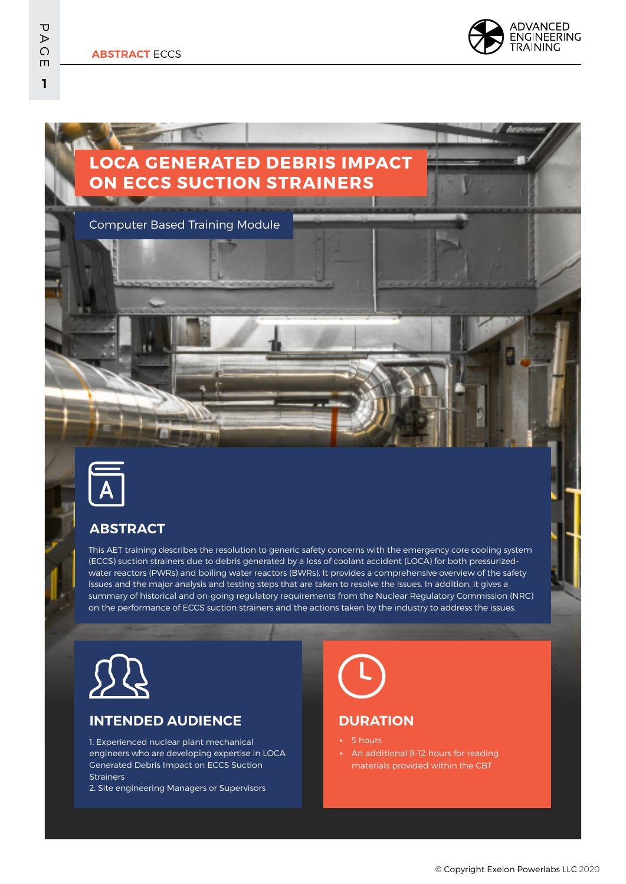**ABSTRACT** ECCS

## **LOCA GENERATED DEBRIS IMPACT ON ECCS SUCTION STRAINERS**

Computer Based Training Module



## **ABSTRACT**

This AET training describes the resolution to generic safety concerns with the emergency core cooling system (ECCS) suction strainers due to debris generated by a loss of coolant accident (LOCA) for both pressurizedwater reactors (PWRs) and boiling water reactors (BWRs). It provides a comprehensive overview of the safety issues and the major analysis and testing steps that are taken to resolve the issues. In addition, it gives a summary of historical and on-going regulatory requirements from the Nuclear Regulatory Commission (NRC) on the performance of ECCS suction strainers and the actions taken by the industry to address the issues.



### **INTENDED AUDIENCE**

1. Experienced nuclear plant mechanical engineers who are developing expertise in LOCA Generated Debris Impact on ECCS Suction **Strainers** 

2. Site engineering Managers or Supervisors

# **DURATION**

#### ▪ 5 hours

An additional 8-12 hours for reading materials provided within the CBT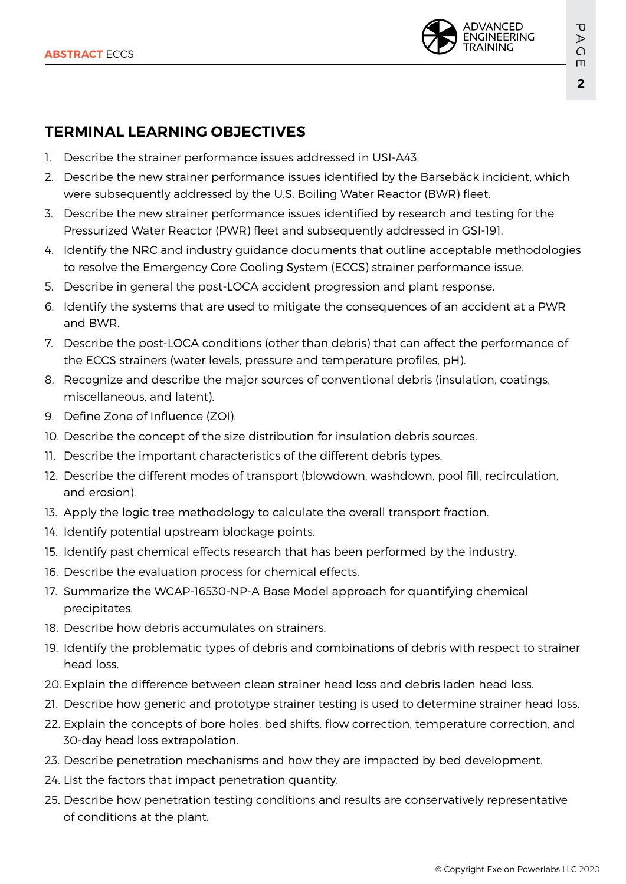

## **TERMINAL LEARNING OBJECTIVES**

- 1. Describe the strainer performance issues addressed in USI-A43.
- 2. Describe the new strainer performance issues identified by the Barsebäck incident, which were subsequently addressed by the U.S. Boiling Water Reactor (BWR) fleet.
- 3. Describe the new strainer performance issues identified by research and testing for the Pressurized Water Reactor (PWR) fleet and subsequently addressed in GSI-191.
- 4. Identify the NRC and industry guidance documents that outline acceptable methodologies to resolve the Emergency Core Cooling System (ECCS) strainer performance issue.
- 5. Describe in general the post-LOCA accident progression and plant response.
- 6. Identify the systems that are used to mitigate the consequences of an accident at a PWR and BWR.
- 7. Describe the post-LOCA conditions (other than debris) that can affect the performance of the ECCS strainers (water levels, pressure and temperature profiles, pH).
- 8. Recognize and describe the major sources of conventional debris (insulation, coatings, miscellaneous, and latent).
- 9. Define Zone of Influence (ZOI).
- 10. Describe the concept of the size distribution for insulation debris sources.
- 11. Describe the important characteristics of the different debris types.
- 12. Describe the different modes of transport (blowdown, washdown, pool fill, recirculation, and erosion).
- 13. Apply the logic tree methodology to calculate the overall transport fraction.
- 14. Identify potential upstream blockage points.
- 15. Identify past chemical effects research that has been performed by the industry.
- 16. Describe the evaluation process for chemical effects.
- 17. Summarize the WCAP-16530-NP-A Base Model approach for quantifying chemical precipitates.
- 18. Describe how debris accumulates on strainers.
- 19. Identify the problematic types of debris and combinations of debris with respect to strainer head loss.
- 20. Explain the difference between clean strainer head loss and debris laden head loss.
- 21. Describe how generic and prototype strainer testing is used to determine strainer head loss.
- 22. Explain the concepts of bore holes, bed shifts, flow correction, temperature correction, and 30-day head loss extrapolation.
- 23. Describe penetration mechanisms and how they are impacted by bed development.
- 24. List the factors that impact penetration quantity.
- 25. Describe how penetration testing conditions and results are conservatively representative of conditions at the plant.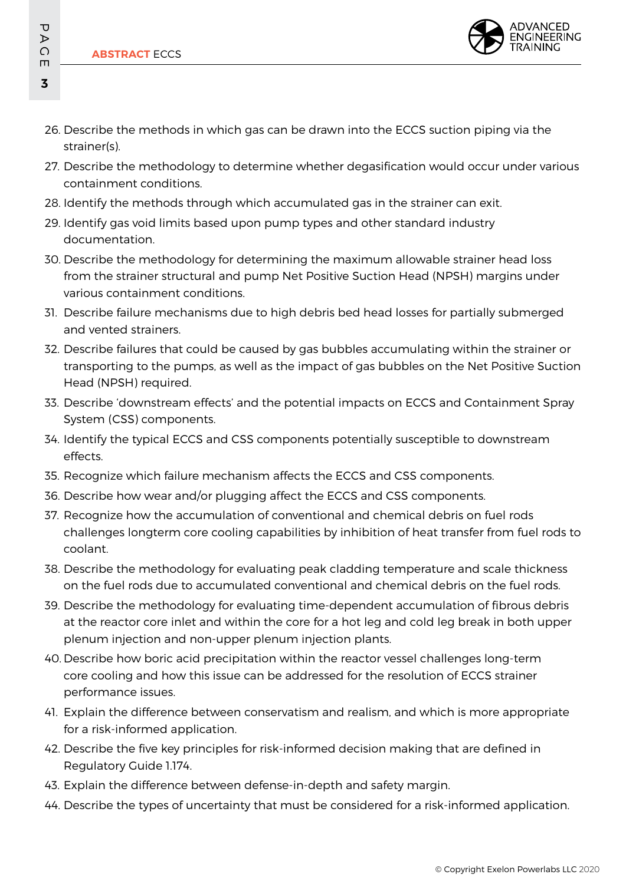

- 26. Describe the methods in which gas can be drawn into the ECCS suction piping via the strainer(s).
- 27. Describe the methodology to determine whether degasification would occur under various containment conditions.
- 28. Identify the methods through which accumulated gas in the strainer can exit.
- 29. Identify gas void limits based upon pump types and other standard industry documentation.
- 30. Describe the methodology for determining the maximum allowable strainer head loss from the strainer structural and pump Net Positive Suction Head (NPSH) margins under various containment conditions.
- 31. Describe failure mechanisms due to high debris bed head losses for partially submerged and vented strainers.
- 32. Describe failures that could be caused by gas bubbles accumulating within the strainer or transporting to the pumps, as well as the impact of gas bubbles on the Net Positive Suction Head (NPSH) required.
- 33. Describe 'downstream effects' and the potential impacts on ECCS and Containment Spray System (CSS) components.
- 34. Identify the typical ECCS and CSS components potentially susceptible to downstream effects.
- 35. Recognize which failure mechanism affects the ECCS and CSS components.
- 36. Describe how wear and/or plugging affect the ECCS and CSS components.
- 37. Recognize how the accumulation of conventional and chemical debris on fuel rods challenges longterm core cooling capabilities by inhibition of heat transfer from fuel rods to coolant.
- 38. Describe the methodology for evaluating peak cladding temperature and scale thickness on the fuel rods due to accumulated conventional and chemical debris on the fuel rods.
- 39. Describe the methodology for evaluating time-dependent accumulation of fibrous debris at the reactor core inlet and within the core for a hot leg and cold leg break in both upper plenum injection and non-upper plenum injection plants.
- 40. Describe how boric acid precipitation within the reactor vessel challenges long-term core cooling and how this issue can be addressed for the resolution of ECCS strainer performance issues.
- 41. Explain the difference between conservatism and realism, and which is more appropriate for a risk-informed application.
- 42. Describe the five key principles for risk-informed decision making that are defined in Regulatory Guide 1.174.
- 43. Explain the difference between defense-in-depth and safety margin.
- 44. Describe the types of uncertainty that must be considered for a risk-informed application.